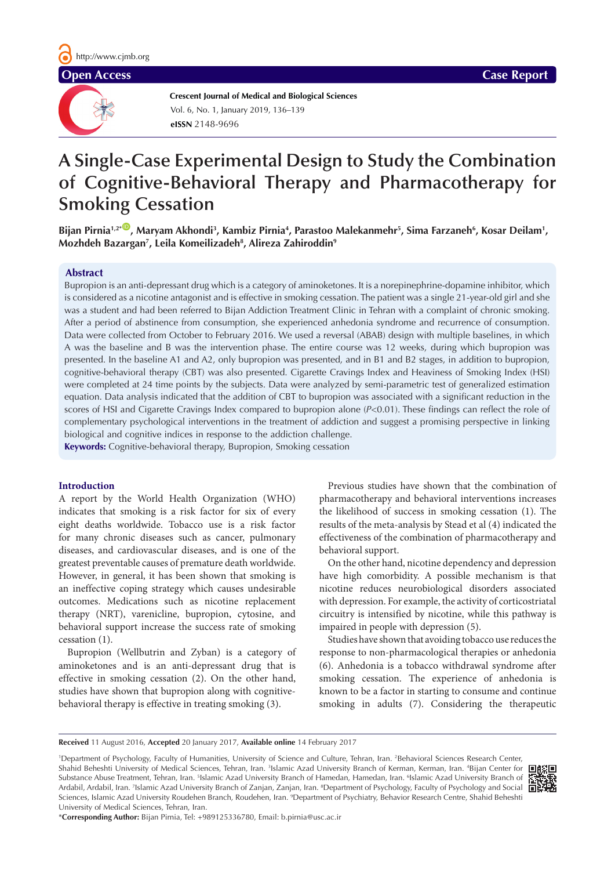# **Open Access** Case Report



**Crescent Journal of Medical and Biological Sciences eISSN** 2148-9696 Vol. 6, No. 1, January 2019, 136–139

# **A Single-Case Experimental Design to Study the Combination of Cognitive-Behavioral Therapy and Pharmacotherapy for Smoking Cessation**

Bijan Pirnia<sup>1,2\*(D</sup>), Maryam Akhondi<sup>3</sup>, Kambiz Pirnia<sup>4</sup>, Parastoo Malekanmehr<sup>5</sup>, Sima Farzaneh<sup>6</sup>, Kosar Deilam<sup>1</sup>, **Mozhdeh Bazargan7 , Leila Komeilizadeh8 , Alireza Zahiroddin9**

#### **Abstract**

Bupropion is an anti-depressant drug which is a category of aminoketones. It is a norepinephrine-dopamine inhibitor, which is considered as a nicotine antagonist and is effective in smoking cessation. The patient was a single 21-year-old girl and she was a student and had been referred to Bijan Addiction Treatment Clinic in Tehran with a complaint of chronic smoking. After a period of abstinence from consumption, she experienced anhedonia syndrome and recurrence of consumption. Data were collected from October to February 2016. We used a reversal (ABAB) design with multiple baselines, in which A was the baseline and B was the intervention phase. The entire course was 12 weeks, during which bupropion was presented. In the baseline A1 and A2, only bupropion was presented, and in B1 and B2 stages, in addition to bupropion, cognitive-behavioral therapy (CBT) was also presented. Cigarette Cravings Index and Heaviness of Smoking Index (HSI) were completed at 24 time points by the subjects. Data were analyzed by semi-parametric test of generalized estimation equation. Data analysis indicated that the addition of CBT to bupropion was associated with a significant reduction in the scores of HSI and Cigarette Cravings Index compared to bupropion alone (*P*<0.01). These findings can reflect the role of complementary psychological interventions in the treatment of addiction and suggest a promising perspective in linking biological and cognitive indices in response to the addiction challenge.

**Keywords:** Cognitive-behavioral therapy, Bupropion, Smoking cessation

#### **Introduction**

A report by the World Health Organization (WHO) indicates that smoking is a risk factor for six of every eight deaths worldwide. Tobacco use is a risk factor for many chronic diseases such as cancer, pulmonary diseases, and cardiovascular diseases, and is one of the greatest preventable causes of premature death worldwide. However, in general, it has been shown that smoking is an ineffective coping strategy which causes undesirable outcomes. Medications such as nicotine replacement therapy (NRT), varenicline, bupropion, cytosine, and behavioral support increase the success rate of smoking cessation (1).

Bupropion (Wellbutrin and Zyban) is a category of aminoketones and is an anti-depressant drug that is effective in smoking cessation (2). On the other hand, studies have shown that bupropion along with cognitivebehavioral therapy is effective in treating smoking (3).

Previous studies have shown that the combination of pharmacotherapy and behavioral interventions increases the likelihood of success in smoking cessation (1). The results of the meta-analysis by Stead et al (4) indicated the effectiveness of the combination of pharmacotherapy and behavioral support.

On the other hand, nicotine dependency and depression have high comorbidity. A possible mechanism is that nicotine reduces neurobiological disorders associated with depression. For example, the activity of corticostriatal circuitry is intensified by nicotine, while this pathway is impaired in people with depression (5).

Studies have shown that avoiding tobacco use reduces the response to non-pharmacological therapies or anhedonia (6). Anhedonia is a tobacco withdrawal syndrome after smoking cessation. The experience of anhedonia is known to be a factor in starting to consume and continue smoking in adults (7). Considering the therapeutic

**Received** 11 August 2016, **Accepted** 20 January 2017, **Available online** 14 February 2017

<sup>1</sup>Department of Psychology, Faculty of Humanities, University of Science and Culture, Tehran, Iran. <sup>2</sup>Behavioral Sciences Research Center, Shahid Beheshti University of Medical Sciences, Tehran, Iran. <sup>3</sup>Islamic Azad University Branch of Kerman, Kerman, Iran. <sup>4</sup>Bijan Center for Substance Abuse Treatment, Tehran, Iran. <sup>5</sup>Islamic Azad University Branch of Hamedan, Hamedan, Iran. <sup>6</sup>Islamic Azad University Branch of Ardabil, Ardabil, Iran. <sup>7</sup>Islamic Azad University Branch of Zanjan, Zanjan, Iran. <sup>8</sup>Department of Psychology, Faculty of Psychology and Social Sciences, Islamic Azad University Roudehen Branch, Roudehen, Iran. <sup>9</sup>Department of Psychiatry, Behavior Research Centre, Shahid Beheshti University of Medical Sciences, Tehran, Iran.



\***Corresponding Author:** Bijan Pirnia, Tel: +989125336780, Email: b.pirnia@usc.ac.ir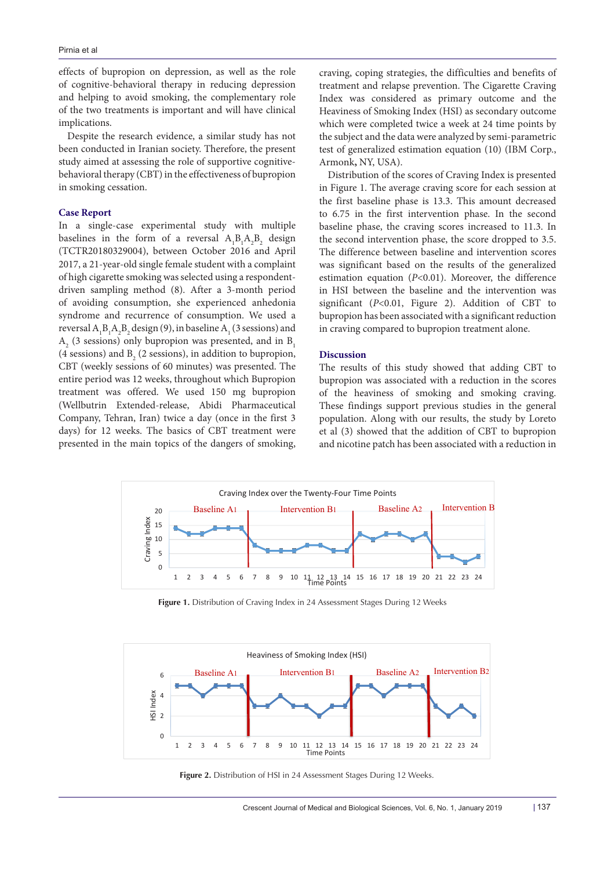effects of bupropion on depression, as well as the role of cognitive-behavioral therapy in reducing depression and helping to avoid smoking, the complementary role of the two treatments is important and will have clinical implications.

Despite the research evidence, a similar study has not been conducted in Iranian society. Therefore, the present study aimed at assessing the role of supportive cognitivebehavioral therapy (CBT) in the effectiveness of bupropion in smoking cessation.

#### **Case Report**

In a single-case experimental study with multiple baselines in the form of a reversal  $A_1B_1A_2B_2$  design (TCTR20180329004), between October 2016 and April 2017, a 21-year-old single female student with a complaint of high cigarette smoking was selected using a respondentdriven sampling method (8). After a 3-month period of avoiding consumption, she experienced anhedonia syndrome and recurrence of consumption. We used a reversal  $A_1B_1A_2B_2$  design (9), in baseline  $A_1$  (3 sessions) and  $A<sub>2</sub>$  (3 sessions) only bupropion was presented, and in  $B<sub>1</sub>$ (4 sessions) and  $B_2$  (2 sessions), in addition to bupropion, CBT (weekly sessions of 60 minutes) was presented. The entire period was 12 weeks, throughout which Bupropion treatment was offered. We used 150 mg bupropion (Wellbutrin Extended-release, Abidi Pharmaceutical Company, Tehran, Iran) twice a day (once in the first 3 days) for 12 weeks. The basics of CBT treatment were presented in the main topics of the dangers of smoking,

craving, coping strategies, the difficulties and benefits of treatment and relapse prevention. The Cigarette Craving Index was considered as primary outcome and the Heaviness of Smoking Index (HSI) as secondary outcome which were completed twice a week at 24 time points by the subject and the data were analyzed by semi-parametric test of generalized estimation equation (10) (IBM Corp., Armonk**,** NY, USA).

Distribution of the scores of Craving Index is presented in Figure 1. The average craving score for each session at the first baseline phase is 13.3. This amount decreased to 6.75 in the first intervention phase. In the second baseline phase, the craving scores increased to 11.3. In the second intervention phase, the score dropped to 3.5. The difference between baseline and intervention scores was significant based on the results of the generalized estimation equation (*P*<0.01). Moreover, the difference in HSI between the baseline and the intervention was significant (*P*<0.01, Figure 2). Addition of CBT to bupropion has been associated with a significant reduction in craving compared to bupropion treatment alone.

### **Discussion**

The results of this study showed that adding CBT to bupropion was associated with a reduction in the scores of the heaviness of smoking and smoking craving. These findings support previous studies in the general population. Along with our results, the study by Loreto et al (3) showed that the addition of CBT to bupropion and nicotine patch has been associated with a reduction in



Figure 1. Distribution of Craving Index in 24 Assessment Stages During 12 Weeks



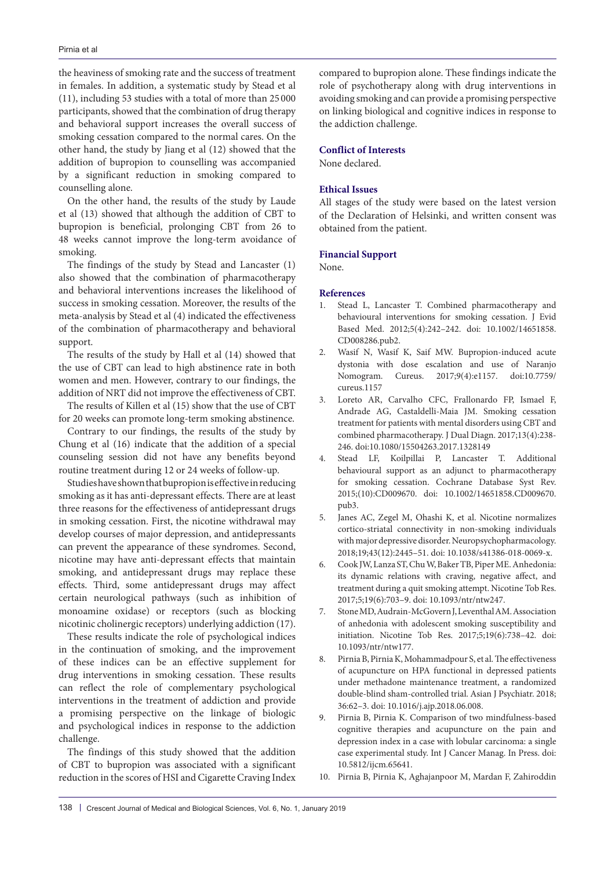the heaviness of smoking rate and the success of treatment in females. In addition, a systematic study by Stead et al (11), including 53 studies with a total of more than 25 000 participants, showed that the combination of drug therapy and behavioral support increases the overall success of smoking cessation compared to the normal cares. On the other hand, the study by Jiang et al (12) showed that the addition of bupropion to counselling was accompanied by a significant reduction in smoking compared to counselling alone.

On the other hand, the results of the study by Laude et al (13) showed that although the addition of CBT to bupropion is beneficial, prolonging CBT from 26 to 48 weeks cannot improve the long-term avoidance of smoking.

The findings of the study by Stead and Lancaster (1) also showed that the combination of pharmacotherapy and behavioral interventions increases the likelihood of success in smoking cessation. Moreover, the results of the meta-analysis by Stead et al (4) indicated the effectiveness of the combination of pharmacotherapy and behavioral support.

The results of the study by Hall et al (14) showed that the use of CBT can lead to high abstinence rate in both women and men. However, contrary to our findings, the addition of NRT did not improve the effectiveness of CBT.

The results of Killen et al (15) show that the use of CBT for 20 weeks can promote long-term smoking abstinence.

Contrary to our findings, the results of the study by Chung et al (16) indicate that the addition of a special counseling session did not have any benefits beyond routine treatment during 12 or 24 weeks of follow-up.

Studies have shown that bupropion is effective in reducing smoking as it has anti-depressant effects. There are at least three reasons for the effectiveness of antidepressant drugs in smoking cessation. First, the nicotine withdrawal may develop courses of major depression, and antidepressants can prevent the appearance of these syndromes. Second, nicotine may have anti-depressant effects that maintain smoking, and antidepressant drugs may replace these effects. Third, some antidepressant drugs may affect certain neurological pathways (such as inhibition of monoamine oxidase) or receptors (such as blocking nicotinic cholinergic receptors) underlying addiction (17).

These results indicate the role of psychological indices in the continuation of smoking, and the improvement of these indices can be an effective supplement for drug interventions in smoking cessation. These results can reflect the role of complementary psychological interventions in the treatment of addiction and provide a promising perspective on the linkage of biologic and psychological indices in response to the addiction challenge.

The findings of this study showed that the addition of CBT to bupropion was associated with a significant reduction in the scores of HSI and Cigarette Craving Index compared to bupropion alone. These findings indicate the role of psychotherapy along with drug interventions in avoiding smoking and can provide a promising perspective on linking biological and cognitive indices in response to the addiction challenge.

### **Conflict of Interests**

None declared.

# **Ethical Issues**

All stages of the study were based on the latest version of the Declaration of Helsinki, and written consent was obtained from the patient.

## **Financial Support**

None.

### **References**

- 1. Stead L, Lancaster T. Combined pharmacotherapy and behavioural interventions for smoking cessation. J Evid Based Med. 2012;5(4):242–242. doi: 10.1002/14651858. CD008286.pub2.
- 2. Wasif N, Wasif K, Saif MW. Bupropion-induced acute dystonia with dose escalation and use of Naranjo Nomogram. Cureus. 2017;9(4):e1157. doi:10.7759/ cureus.1157
- 3. Loreto AR, Carvalho CFC, Frallonardo FP, Ismael F, Andrade AG, Castaldelli-Maia JM. Smoking cessation treatment for patients with mental disorders using CBT and combined pharmacotherapy. J Dual Diagn. 2017;13(4):238- 246. doi:10.1080/15504263.2017.1328149
- 4. Stead LF, Koilpillai P, Lancaster T. Additional behavioural support as an adjunct to pharmacotherapy for smoking cessation. Cochrane Database Syst Rev. 2015;(10):CD009670. doi: 10.1002/14651858.CD009670. pub3.
- 5. Janes AC, Zegel M, Ohashi K, et al. Nicotine normalizes cortico-striatal connectivity in non-smoking individuals with major depressive disorder. Neuropsychopharmacology. 2018;19;43(12):2445–51. doi: 10.1038/s41386-018-0069-x.
- 6. Cook JW, Lanza ST, Chu W, Baker TB, Piper ME. Anhedonia: its dynamic relations with craving, negative affect, and treatment during a quit smoking attempt. Nicotine Tob Res. 2017;5;19(6):703–9. doi: 10.1093/ntr/ntw247.
- 7. Stone MD, Audrain-McGovern J, Leventhal AM. Association of anhedonia with adolescent smoking susceptibility and initiation. Nicotine Tob Res. 2017;5;19(6):738–42. doi: 10.1093/ntr/ntw177.
- 8. Pirnia B, Pirnia K, Mohammadpour S, et al. The effectiveness of acupuncture on HPA functional in depressed patients under methadone maintenance treatment, a randomized double-blind sham-controlled trial. Asian J Psychiatr. 2018; 36:62–3. doi: 10.1016/j.ajp.2018.06.008.
- 9. Pirnia B, Pirnia K. Comparison of two mindfulness-based cognitive therapies and acupuncture on the pain and depression index in a case with lobular carcinoma: a single case experimental study. Int J Cancer Manag. In Press. doi: 10.5812/ijcm.65641.
- 10. Pirnia B, Pirnia K, Aghajanpoor M, Mardan F, Zahiroddin